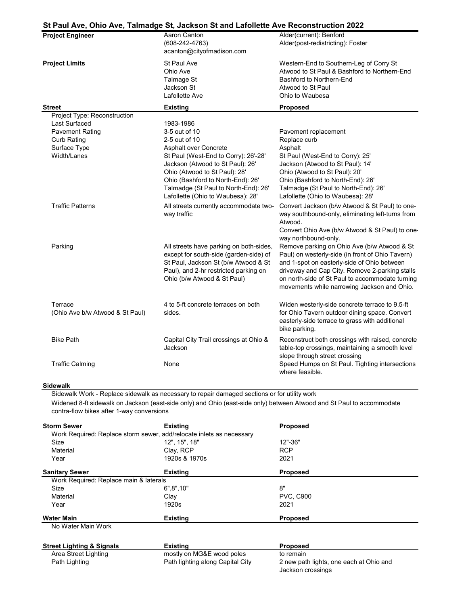## **St Paul Ave, Ohio Ave, Talmadge St, Jackson St and Lafollette Ave Reconstruction 2022**

| <b>Project Engineer</b>                    | 01 - au Arc, Onic Arc, Tannaago Ol, Gaokoon Ol and Earonollo Arc Novonollach<br>Aaron Canton<br>$(608-242-4763)$<br>acanton@cityofmadison.com                                                                               | Alder(current): Benford<br>Alder(post-redistricting): Foster                                                                                                                                                                                                                                       |
|--------------------------------------------|-----------------------------------------------------------------------------------------------------------------------------------------------------------------------------------------------------------------------------|----------------------------------------------------------------------------------------------------------------------------------------------------------------------------------------------------------------------------------------------------------------------------------------------------|
| <b>Project Limits</b>                      | St Paul Ave<br>Ohio Ave<br>Talmage St<br>Jackson St<br>Lafollette Ave                                                                                                                                                       | Western-End to Southern-Leg of Corry St<br>Atwood to St Paul & Bashford to Northern-End<br>Bashford to Northern-End<br>Atwood to St Paul<br>Ohio to Waubesa                                                                                                                                        |
| <b>Street</b>                              | <b>Existing</b>                                                                                                                                                                                                             | <b>Proposed</b>                                                                                                                                                                                                                                                                                    |
| Project Type: Reconstruction               |                                                                                                                                                                                                                             |                                                                                                                                                                                                                                                                                                    |
| Last Surfaced                              | 1983-1986                                                                                                                                                                                                                   |                                                                                                                                                                                                                                                                                                    |
| <b>Pavement Rating</b>                     | 3-5 out of 10                                                                                                                                                                                                               | Pavement replacement                                                                                                                                                                                                                                                                               |
| <b>Curb Rating</b>                         | 2-5 out of 10                                                                                                                                                                                                               | Replace curb                                                                                                                                                                                                                                                                                       |
| Surface Type                               | Asphalt over Concrete                                                                                                                                                                                                       | Asphalt                                                                                                                                                                                                                                                                                            |
| Width/Lanes                                | St Paul (West-End to Corry): 26'-28'<br>Jackson (Atwood to St Paul): 26'<br>Ohio (Atwood to St Paul): 28'<br>Ohio (Bashford to North-End): 26'<br>Talmadge (St Paul to North-End): 26'<br>Lafollette (Ohio to Waubesa): 28' | St Paul (West-End to Corry): 25'<br>Jackson (Atwood to St Paul): 14'<br>Ohio (Atwood to St Paul): 20'<br>Ohio (Bashford to North-End): 26'<br>Talmadge (St Paul to North-End): 26'<br>Lafollette (Ohio to Waubesa): 28'                                                                            |
| <b>Traffic Patterns</b>                    | All streets currently accommodate two-<br>way traffic                                                                                                                                                                       | Convert Jackson (b/w Atwood & St Paul) to one-<br>way southbound-only, eliminating left-turns from<br>Atwood.<br>Convert Ohio Ave (b/w Atwood & St Paul) to one-<br>way northbound-only.                                                                                                           |
| Parking                                    | All streets have parking on both-sides,<br>except for south-side (garden-side) of<br>St Paul, Jackson St (b/w Atwood & St<br>Paul), and 2-hr restricted parking on<br>Ohio (b/w Atwood & St Paul)                           | Remove parking on Ohio Ave (b/w Atwood & St<br>Paul) on westerly-side (in front of Ohio Tavern)<br>and 1-spot on easterly-side of Ohio between<br>driveway and Cap City. Remove 2-parking stalls<br>on north-side of St Paul to accommodate turning<br>movements while narrowing Jackson and Ohio. |
| Terrace<br>(Ohio Ave b/w Atwood & St Paul) | 4 to 5-ft concrete terraces on both<br>sides.                                                                                                                                                                               | Widen westerly-side concrete terrace to 9.5-ft<br>for Ohio Tavern outdoor dining space. Convert<br>easterly-side terrace to grass with additional<br>bike parking.                                                                                                                                 |
| <b>Bike Path</b>                           | Capital City Trail crossings at Ohio &<br>Jackson                                                                                                                                                                           | Reconstruct both crossings with raised, concrete<br>table-top crossings, maintaining a smooth level<br>slope through street crossing                                                                                                                                                               |
| <b>Traffic Calming</b>                     | None                                                                                                                                                                                                                        | Speed Humps on St Paul. Tighting intersections<br>where feasible.                                                                                                                                                                                                                                  |

## **Sidewalk**

Sidewalk Work - Replace sidewalk as necessary to repair damaged sections or for utility work Widened 8-ft sidewalk on Jackson (east-side only) and Ohio (east-side only) between Atwood and St Paul to accommodate contra-flow bikes after 1-way conversions

| <b>Storm Sewer</b>                     | <b>Existing</b>                                                      | <b>Proposed</b>                         |
|----------------------------------------|----------------------------------------------------------------------|-----------------------------------------|
|                                        | Work Required: Replace storm sewer, add/relocate inlets as necessary |                                         |
| Size                                   | 12", 15", 18"                                                        | 12"-36"                                 |
| Material                               | Clay, RCP                                                            | <b>RCP</b>                              |
| Year                                   | 1920s & 1970s                                                        | 2021                                    |
| <b>Sanitary Sewer</b>                  | <b>Existing</b>                                                      | <b>Proposed</b>                         |
| Work Required: Replace main & laterals |                                                                      |                                         |
| Size                                   | 6", 8", 10"                                                          | 8"                                      |
| Material                               | Clay                                                                 | <b>PVC, C900</b>                        |
| Year                                   | 1920s                                                                | 2021                                    |
| <b>Water Main</b>                      | <b>Existing</b>                                                      | <b>Proposed</b>                         |
| No Water Main Work                     |                                                                      |                                         |
| <b>Street Lighting &amp; Signals</b>   | <b>Existing</b>                                                      | <b>Proposed</b>                         |
| Area Street Lighting                   | mostly on MG&E wood poles                                            | to remain                               |
| Path Lighting                          | Path lighting along Capital City                                     | 2 new path lights, one each at Ohio and |

Jackson crossings